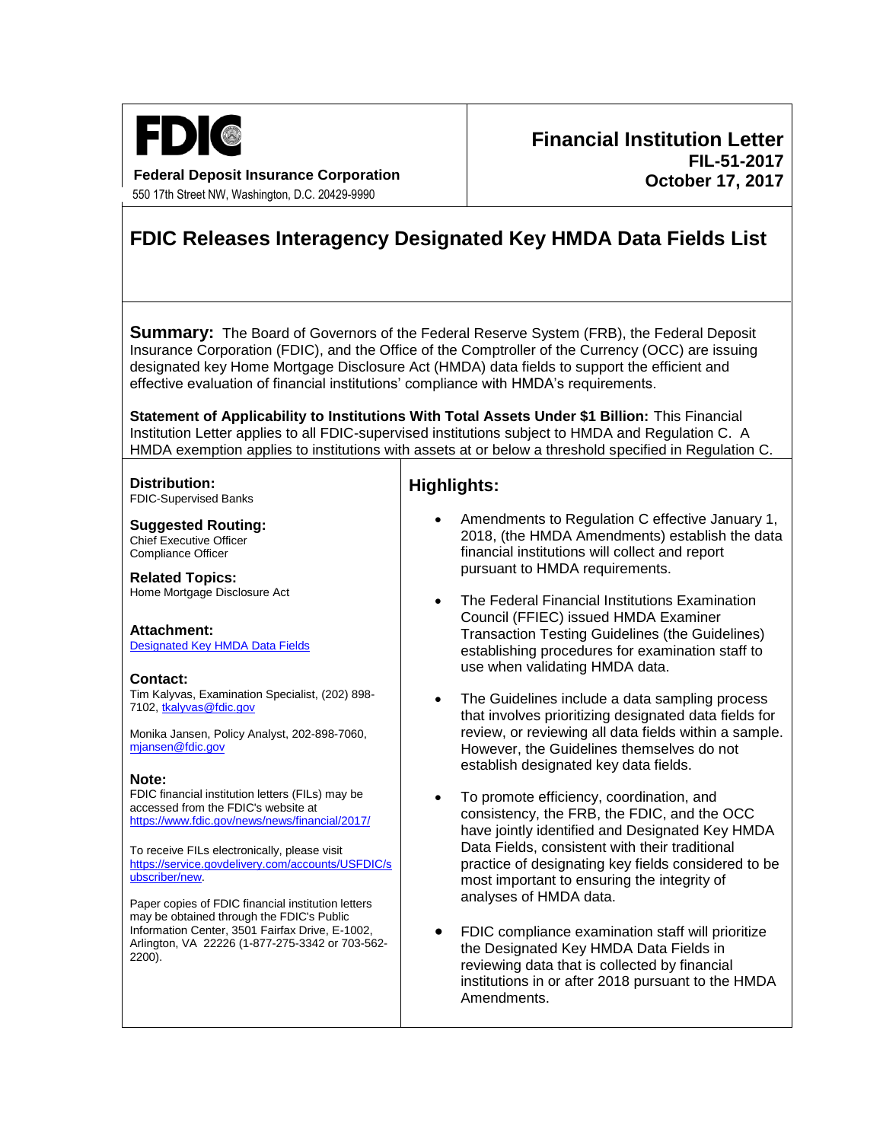

**Federal Deposit Insurance Corporation** 550 17th Street NW, Washington, D.C. 20429-9990

## **Financial Institution Letter FIL-51-2017 October 17, 2017**

# **FDIC Releases Interagency Designated Key HMDA Data Fields List**

**Summary:** The Board of Governors of the Federal Reserve System (FRB), the Federal Deposit Insurance Corporation (FDIC), and the Office of the Comptroller of the Currency (OCC) are issuing designated key Home Mortgage Disclosure Act (HMDA) data fields to support the efficient and effective evaluation of financial institutions' compliance with HMDA's requirements.

**Statement of Applicability to Institutions With Total Assets Under \$1 Billion:** This Financial Institution Letter applies to all FDIC-supervised institutions subject to HMDA and Regulation C. A HMDA exemption applies to institutions with assets at or below a threshold specified in Regulation C.

#### **Distribution:** FDIC-Supervised Banks

**Suggested Routing:** Chief Executive Officer Compliance Officer

**Related Topics:** Home Mortgage Disclosure Act

#### **Attachment:**  [Designated Key HMDA Data Fields](https://www.fdic.gov/news/news/financial/2017/fil17051a.pdf)

## **Contact:**

Tim Kalyvas, Examination Specialist, (202) 898- 7102[, tkalyvas@fdic.gov](mailto:tkalyvas@fdic.gov)

Monika Jansen, Policy Analyst, 202-898-7060, [mjansen@fdic.gov](mailto:mjansen@fdic.gov)

## **Note:**

FDIC financial institution letters (FILs) may be accessed from the FDIC's website at <https://www.fdic.gov/news/news/financial/2017/>

To receive FILs electronically, please visit [https://service.govdelivery.com/accounts/USFDIC/s](https://service.govdelivery.com/accounts/USFDIC/subscriber/new) [ubscriber/new.](https://service.govdelivery.com/accounts/USFDIC/subscriber/new)

Paper copies of FDIC financial institution letters may be obtained through the FDIC's Public Information Center, 3501 Fairfax Drive, E-1002, Arlington, VA 22226 (1-877-275-3342 or 703-562- 2200).

## **Highlights:**

- Amendments to Regulation C effective January 1, 2018, (the HMDA Amendments) establish the data financial institutions will collect and report pursuant to HMDA requirements.
- The Federal Financial Institutions Examination Council (FFIEC) issued HMDA Examiner Transaction Testing Guidelines (the Guidelines) establishing procedures for examination staff to use when validating HMDA data.
- The Guidelines include a data sampling process that involves prioritizing designated data fields for review, or reviewing all data fields within a sample. However, the Guidelines themselves do not establish designated key data fields.
- To promote efficiency, coordination, and consistency, the FRB, the FDIC, and the OCC have jointly identified and Designated Key HMDA Data Fields, consistent with their traditional practice of designating key fields considered to be most important to ensuring the integrity of analyses of HMDA data.
- FDIC compliance examination staff will prioritize the Designated Key HMDA Data Fields in reviewing data that is collected by financial institutions in or after 2018 pursuant to the HMDA Amendments.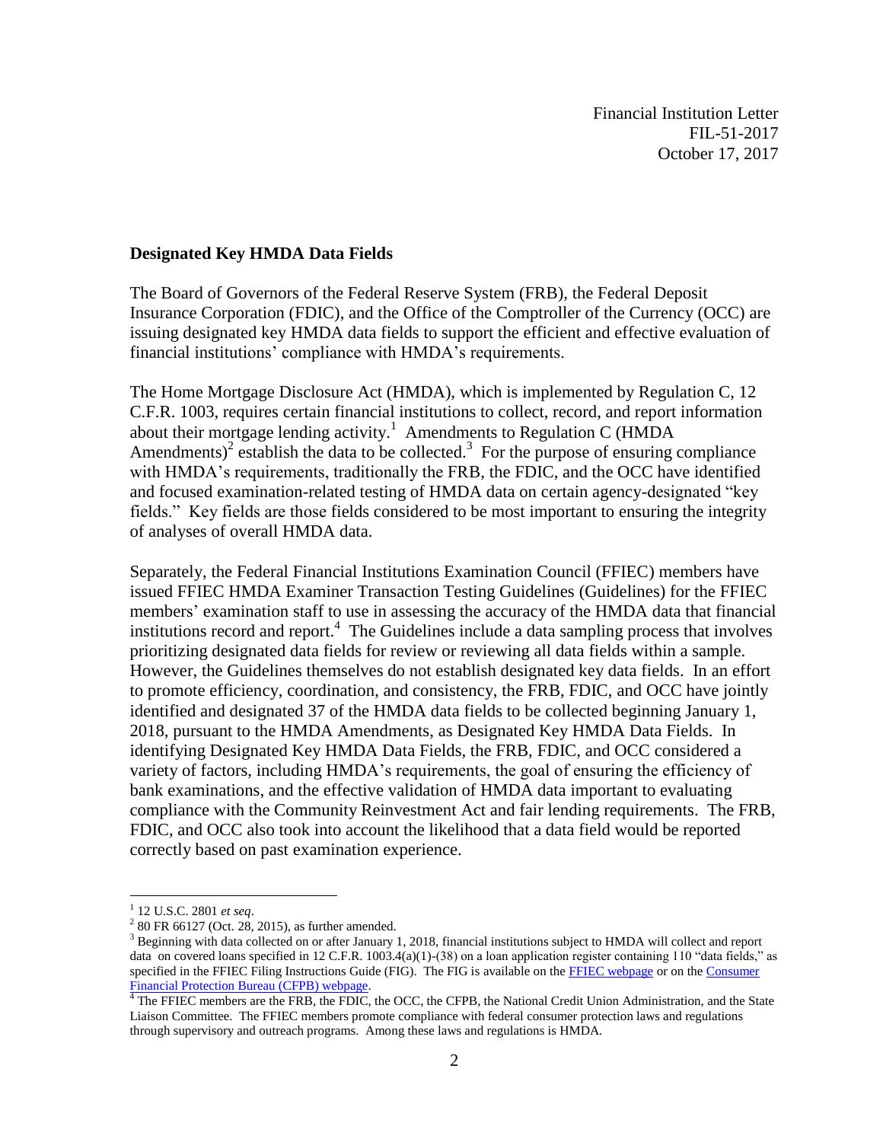Financial Institution Letter FIL-51-2017 October 17, 2017

## **Designated Key HMDA Data Fields**

The Board of Governors of the Federal Reserve System (FRB), the Federal Deposit Insurance Corporation (FDIC), and the Office of the Comptroller of the Currency (OCC) are issuing designated key HMDA data fields to support the efficient and effective evaluation of financial institutions' compliance with HMDA's requirements.

The Home Mortgage Disclosure Act (HMDA), which is implemented by Regulation C, 12 C.F.R. 1003, requires certain financial institutions to collect, record, and report information about their mortgage lending activity.<sup>1</sup> Amendments to Regulation C (HMDA) Amendments)<sup>2</sup> establish the data to be collected.<sup>3</sup> For the purpose of ensuring compliance with HMDA's requirements, traditionally the FRB, the FDIC, and the OCC have identified and focused examination-related testing of HMDA data on certain agency-designated "key fields." Key fields are those fields considered to be most important to ensuring the integrity of analyses of overall HMDA data.

Separately, the Federal Financial Institutions Examination Council (FFIEC) members have issued FFIEC HMDA Examiner Transaction Testing Guidelines (Guidelines) for the FFIEC members' examination staff to use in assessing the accuracy of the HMDA data that financial institutions record and report.<sup>4</sup> The Guidelines include a data sampling process that involves prioritizing designated data fields for review or reviewing all data fields within a sample. However, the Guidelines themselves do not establish designated key data fields. In an effort to promote efficiency, coordination, and consistency, the FRB, FDIC, and OCC have jointly identified and designated 37 of the HMDA data fields to be collected beginning January 1, 2018, pursuant to the HMDA Amendments, as Designated Key HMDA Data Fields. In identifying Designated Key HMDA Data Fields, the FRB, FDIC, and OCC considered a variety of factors, including HMDA's requirements, the goal of ensuring the efficiency of bank examinations, and the effective validation of HMDA data important to evaluating compliance with the Community Reinvestment Act and fair lending requirements. The FRB, FDIC, and OCC also took into account the likelihood that a data field would be reported correctly based on past examination experience.

 $\overline{a}$ 

<sup>1</sup> 12 U.S.C. 2801 *et seq*.

 $2^{2}$  80 FR 66127 (Oct. 28, 2015), as further amended.

<sup>&</sup>lt;sup>3</sup> Beginning with data collected on or after January 1, 2018, financial institutions subject to HMDA will collect and report data on covered loans specified in 12 C.F.R. 1003.4(a)(1)-(38) on a loan application register containing 110 "data fields," as specified in the FFIEC Filing Instructions Guide (FIG). The FIG is available on th[e FFIEC webpage](https://www.ffiec.gov/hmda/fileformats.htm) or on th[e Consumer](https://www.consumerfinance.gov/data-research/hmda/for-filers)  Financial Protection Bureau (CFPB) webpage.<br><sup>4</sup> The EEIEC members are the EPD, the EDIC

The FFIEC members are the FRB, the FDIC, the OCC, the CFPB, the National Credit Union Administration, and the State Liaison Committee. The FFIEC members promote compliance with federal consumer protection laws and regulations through supervisory and outreach programs. Among these laws and regulations is HMDA.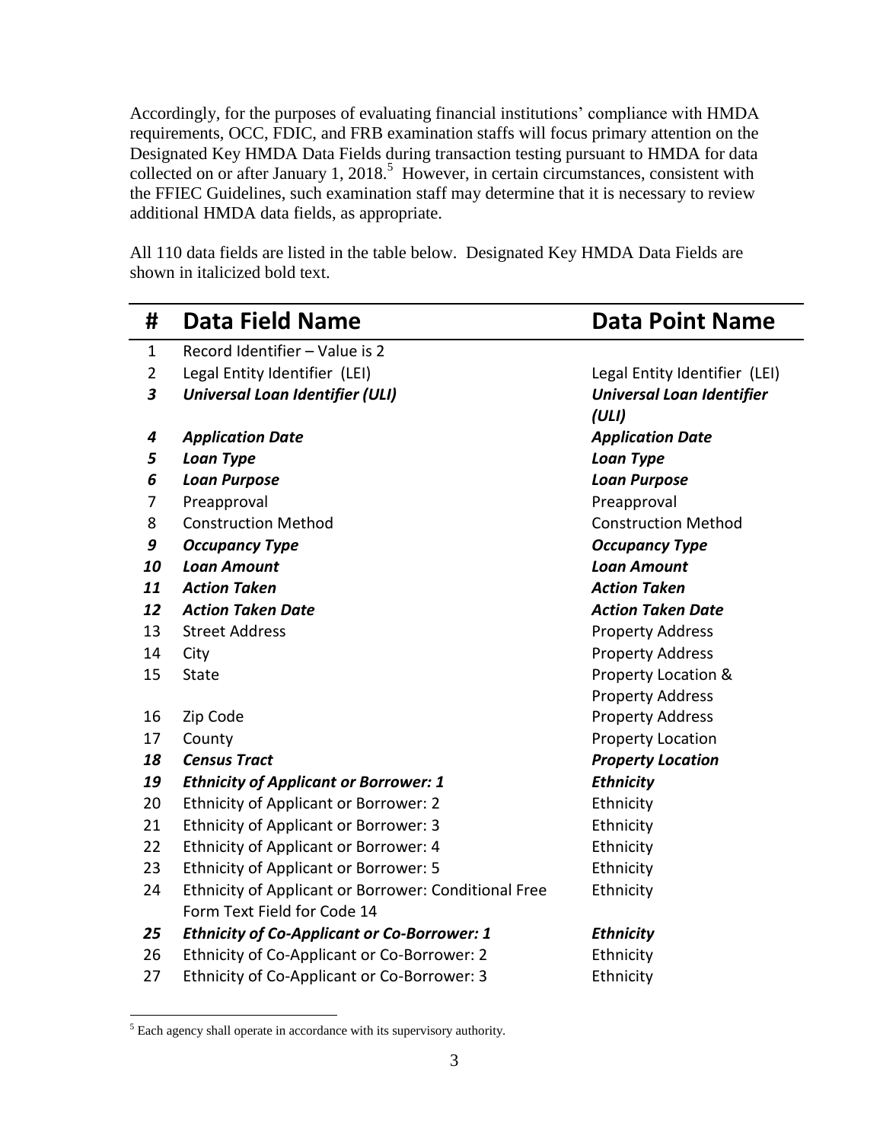Accordingly, for the purposes of evaluating financial institutions' compliance with HMDA requirements, OCC, FDIC, and FRB examination staffs will focus primary attention on the Designated Key HMDA Data Fields during transaction testing pursuant to HMDA for data collected on or after January 1, 2018.<sup>5</sup> However, in certain circumstances, consistent with the FFIEC Guidelines, such examination staff may determine that it is necessary to review additional HMDA data fields, as appropriate.

All 110 data fields are listed in the table below. Designated Key HMDA Data Fields are shown in italicized bold text.

| #              | <b>Data Field Name</b>                               | <b>Data Point Name</b>           |
|----------------|------------------------------------------------------|----------------------------------|
| $\mathbf{1}$   | Record Identifier - Value is 2                       |                                  |
| $\overline{2}$ | Legal Entity Identifier (LEI)                        | Legal Entity Identifier (LEI)    |
| 3              | <b>Universal Loan Identifier (ULI)</b>               | <b>Universal Loan Identifier</b> |
|                |                                                      | (ULI)                            |
| 4              | <b>Application Date</b>                              | <b>Application Date</b>          |
| 5              | <b>Loan Type</b>                                     | Loan Type                        |
| 6              | <b>Loan Purpose</b>                                  | <b>Loan Purpose</b>              |
| 7              | Preapproval                                          | Preapproval                      |
| 8              | <b>Construction Method</b>                           | <b>Construction Method</b>       |
| 9              | <b>Occupancy Type</b>                                | <b>Occupancy Type</b>            |
| 10             | <b>Loan Amount</b>                                   | <b>Loan Amount</b>               |
| 11             | <b>Action Taken</b>                                  | <b>Action Taken</b>              |
| 12             | <b>Action Taken Date</b>                             | <b>Action Taken Date</b>         |
| 13             | <b>Street Address</b>                                | <b>Property Address</b>          |
| 14             | City                                                 | <b>Property Address</b>          |
| 15             | <b>State</b>                                         | Property Location &              |
|                |                                                      | <b>Property Address</b>          |
| 16             | Zip Code                                             | <b>Property Address</b>          |
| 17             | County                                               | <b>Property Location</b>         |
| 18             | <b>Census Tract</b>                                  | <b>Property Location</b>         |
| 19             | <b>Ethnicity of Applicant or Borrower: 1</b>         | <b>Ethnicity</b>                 |
| 20             | <b>Ethnicity of Applicant or Borrower: 2</b>         | Ethnicity                        |
| 21             | Ethnicity of Applicant or Borrower: 3                | Ethnicity                        |
| 22             | Ethnicity of Applicant or Borrower: 4                | Ethnicity                        |
| 23             | <b>Ethnicity of Applicant or Borrower: 5</b>         | Ethnicity                        |
| 24             | Ethnicity of Applicant or Borrower: Conditional Free | Ethnicity                        |
|                | Form Text Field for Code 14                          |                                  |
| 25             | <b>Ethnicity of Co-Applicant or Co-Borrower: 1</b>   | <b>Ethnicity</b>                 |
| 26             | Ethnicity of Co-Applicant or Co-Borrower: 2          | Ethnicity                        |
| 27             | Ethnicity of Co-Applicant or Co-Borrower: 3          | Ethnicity                        |

<sup>&</sup>lt;sup>5</sup> Each agency shall operate in accordance with its supervisory authority.

 $\overline{a}$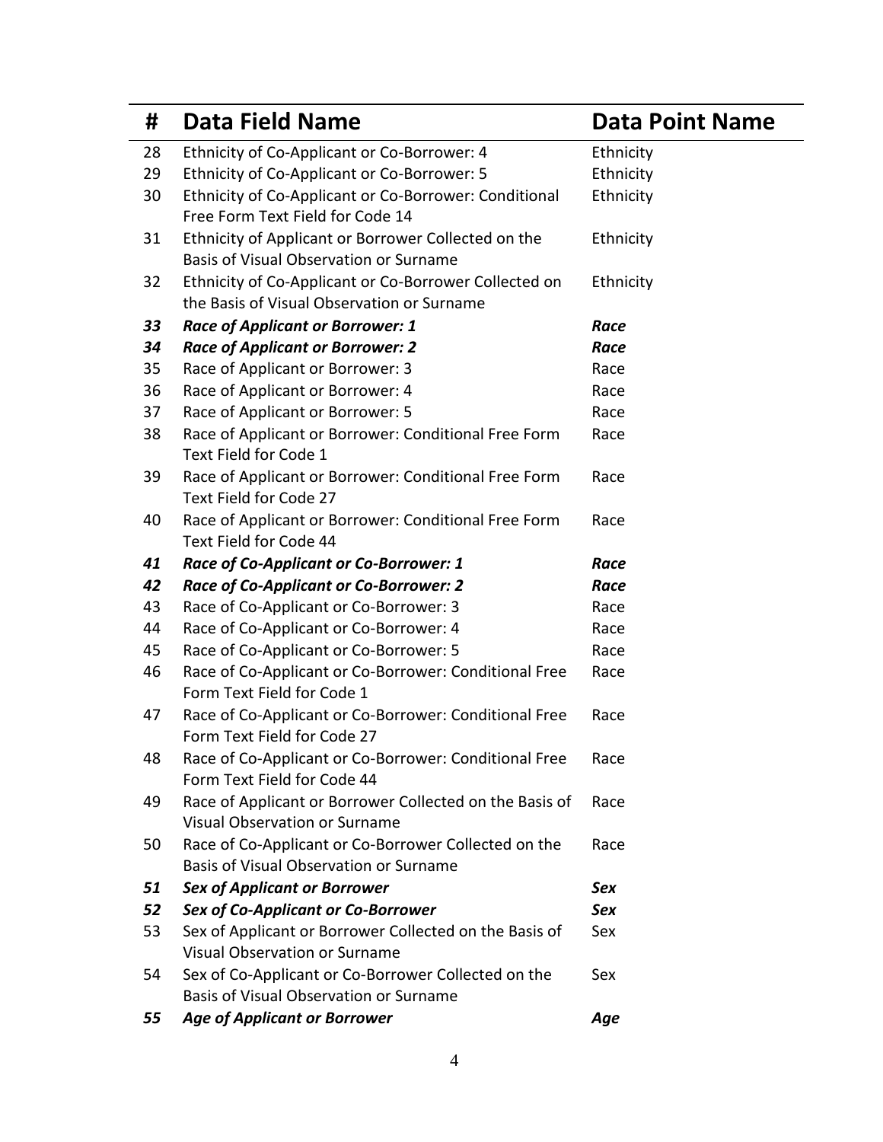| #  | <b>Data Field Name</b>                                                                         | <b>Data Point Name</b> |
|----|------------------------------------------------------------------------------------------------|------------------------|
| 28 | Ethnicity of Co-Applicant or Co-Borrower: 4                                                    | Ethnicity              |
| 29 | Ethnicity of Co-Applicant or Co-Borrower: 5                                                    | Ethnicity              |
| 30 | Ethnicity of Co-Applicant or Co-Borrower: Conditional                                          | Ethnicity              |
|    | Free Form Text Field for Code 14                                                               |                        |
| 31 | Ethnicity of Applicant or Borrower Collected on the                                            | Ethnicity              |
|    | Basis of Visual Observation or Surname                                                         |                        |
| 32 | Ethnicity of Co-Applicant or Co-Borrower Collected on                                          | Ethnicity              |
|    | the Basis of Visual Observation or Surname                                                     |                        |
| 33 | <b>Race of Applicant or Borrower: 1</b>                                                        | Race                   |
| 34 | <b>Race of Applicant or Borrower: 2</b>                                                        | Race                   |
| 35 | Race of Applicant or Borrower: 3                                                               | Race                   |
| 36 | Race of Applicant or Borrower: 4                                                               | Race                   |
| 37 | Race of Applicant or Borrower: 5                                                               | Race                   |
| 38 | Race of Applicant or Borrower: Conditional Free Form                                           | Race                   |
|    | Text Field for Code 1                                                                          |                        |
| 39 | Race of Applicant or Borrower: Conditional Free Form                                           | Race                   |
|    | Text Field for Code 27                                                                         |                        |
| 40 | Race of Applicant or Borrower: Conditional Free Form                                           | Race                   |
|    | Text Field for Code 44                                                                         |                        |
| 41 | Race of Co-Applicant or Co-Borrower: 1                                                         | Race                   |
| 42 | <b>Race of Co-Applicant or Co-Borrower: 2</b>                                                  | Race                   |
| 43 | Race of Co-Applicant or Co-Borrower: 3                                                         | Race                   |
| 44 | Race of Co-Applicant or Co-Borrower: 4                                                         | Race                   |
| 45 | Race of Co-Applicant or Co-Borrower: 5                                                         | Race                   |
| 46 | Race of Co-Applicant or Co-Borrower: Conditional Free                                          | Race                   |
|    | Form Text Field for Code 1                                                                     |                        |
| 47 | Race of Co-Applicant or Co-Borrower: Conditional Free                                          | Race                   |
|    | Form Text Field for Code 27                                                                    |                        |
| 48 | Race of Co-Applicant or Co-Borrower: Conditional Free                                          | Race                   |
|    | Form Text Field for Code 44                                                                    |                        |
| 49 | Race of Applicant or Borrower Collected on the Basis of                                        | Race                   |
|    | <b>Visual Observation or Surname</b>                                                           |                        |
| 50 | Race of Co-Applicant or Co-Borrower Collected on the                                           | Race                   |
|    | Basis of Visual Observation or Surname                                                         |                        |
| 51 | <b>Sex of Applicant or Borrower</b>                                                            | Sex                    |
| 52 | Sex of Co-Applicant or Co-Borrower                                                             | <b>Sex</b>             |
| 53 | Sex of Applicant or Borrower Collected on the Basis of<br><b>Visual Observation or Surname</b> | Sex                    |
|    |                                                                                                |                        |
| 54 | Sex of Co-Applicant or Co-Borrower Collected on the<br>Basis of Visual Observation or Surname  | Sex                    |
|    |                                                                                                |                        |
| 55 | <b>Age of Applicant or Borrower</b>                                                            | Age                    |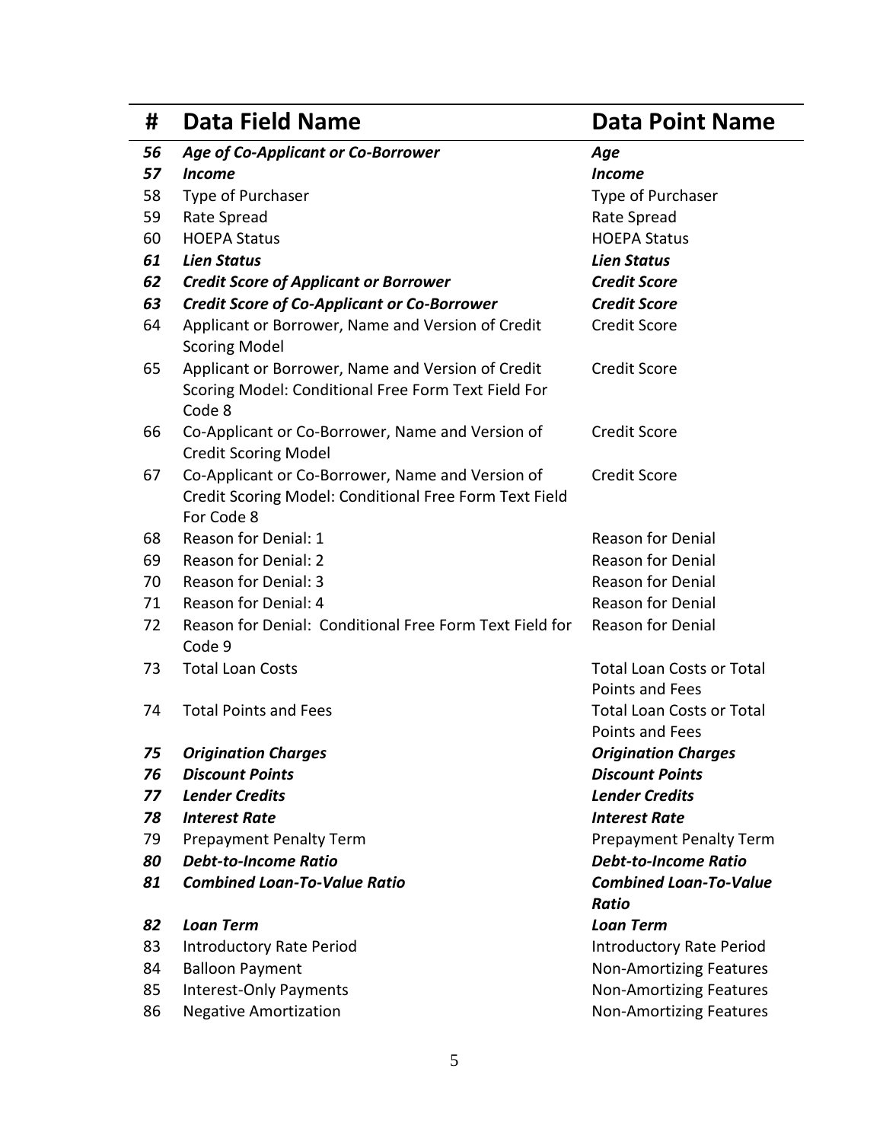| #  | <b>Data Field Name</b>                                                                                                   | <b>Data Point Name</b>                              |
|----|--------------------------------------------------------------------------------------------------------------------------|-----------------------------------------------------|
| 56 | <b>Age of Co-Applicant or Co-Borrower</b>                                                                                | Age                                                 |
| 57 | <b>Income</b>                                                                                                            | <b>Income</b>                                       |
| 58 | Type of Purchaser                                                                                                        | Type of Purchaser                                   |
| 59 | Rate Spread                                                                                                              | Rate Spread                                         |
| 60 | <b>HOEPA Status</b>                                                                                                      | <b>HOEPA Status</b>                                 |
| 61 | <b>Lien Status</b>                                                                                                       | <b>Lien Status</b>                                  |
| 62 | <b>Credit Score of Applicant or Borrower</b>                                                                             | <b>Credit Score</b>                                 |
| 63 | <b>Credit Score of Co-Applicant or Co-Borrower</b>                                                                       | <b>Credit Score</b>                                 |
| 64 | Applicant or Borrower, Name and Version of Credit<br><b>Scoring Model</b>                                                | <b>Credit Score</b>                                 |
| 65 | Applicant or Borrower, Name and Version of Credit<br>Scoring Model: Conditional Free Form Text Field For<br>Code 8       | <b>Credit Score</b>                                 |
| 66 | Co-Applicant or Co-Borrower, Name and Version of<br><b>Credit Scoring Model</b>                                          | <b>Credit Score</b>                                 |
| 67 | Co-Applicant or Co-Borrower, Name and Version of<br>Credit Scoring Model: Conditional Free Form Text Field<br>For Code 8 | <b>Credit Score</b>                                 |
| 68 | Reason for Denial: 1                                                                                                     | <b>Reason for Denial</b>                            |
| 69 | Reason for Denial: 2                                                                                                     | <b>Reason for Denial</b>                            |
| 70 | <b>Reason for Denial: 3</b>                                                                                              | <b>Reason for Denial</b>                            |
| 71 | Reason for Denial: 4                                                                                                     | <b>Reason for Denial</b>                            |
| 72 | Reason for Denial: Conditional Free Form Text Field for<br>Code 9                                                        | <b>Reason for Denial</b>                            |
| 73 | <b>Total Loan Costs</b>                                                                                                  | <b>Total Loan Costs or Total</b><br>Points and Fees |
| 74 | <b>Total Points and Fees</b>                                                                                             | <b>Total Loan Costs or Total</b><br>Points and Fees |
| 75 | <b>Origination Charges</b>                                                                                               | <b>Origination Charges</b>                          |
| 76 | <b>Discount Points</b>                                                                                                   | <b>Discount Points</b>                              |
| 77 | <b>Lender Credits</b>                                                                                                    | <b>Lender Credits</b>                               |
| 78 | <b>Interest Rate</b>                                                                                                     | <b>Interest Rate</b>                                |
| 79 | <b>Prepayment Penalty Term</b>                                                                                           | <b>Prepayment Penalty Term</b>                      |
| 80 | <b>Debt-to-Income Ratio</b>                                                                                              | <b>Debt-to-Income Ratio</b>                         |
| 81 | <b>Combined Loan-To-Value Ratio</b>                                                                                      | <b>Combined Loan-To-Value</b><br><b>Ratio</b>       |
| 82 | <b>Loan Term</b>                                                                                                         | <b>Loan Term</b>                                    |
| 83 | <b>Introductory Rate Period</b>                                                                                          | <b>Introductory Rate Period</b>                     |
| 84 | <b>Balloon Payment</b>                                                                                                   | <b>Non-Amortizing Features</b>                      |
| 85 | Interest-Only Payments                                                                                                   | <b>Non-Amortizing Features</b>                      |
| 86 | <b>Negative Amortization</b>                                                                                             | <b>Non-Amortizing Features</b>                      |